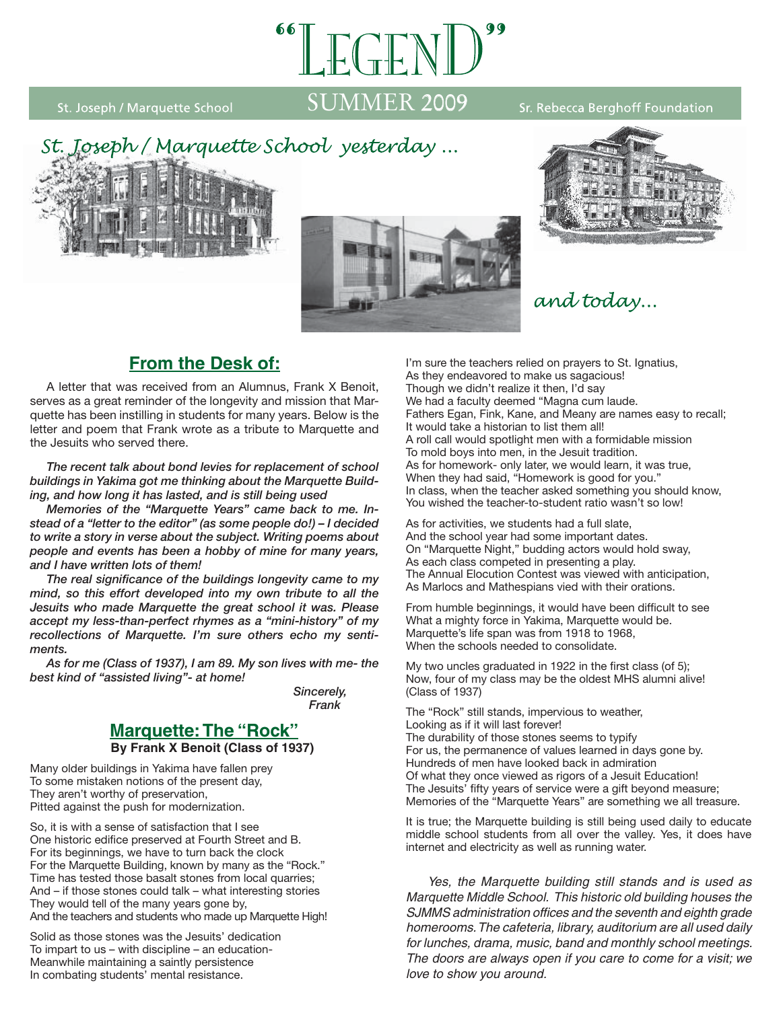St. Joseph / Marquette School

# SUMMER 2009

#### Sr. Rebecca Berghoff Foundation







# and today...

# **From the Desk of:**

 A letter that was received from an Alumnus, Frank X Benoit, serves as a great reminder of the longevity and mission that Marquette has been instilling in students for many years. Below is the letter and poem that Frank wrote as a tribute to Marquette and the Jesuits who served there.

*The recent talk about bond levies for replacement of school buildings in Yakima got me thinking about the Marquette Building, and how long it has lasted, and is still being used*

 *Memories of the "Marquette Years" came back to me. Instead of a "letter to the editor" (as some people do!) – I decided to write a story in verse about the subject. Writing poems about people and events has been a hobby of mine for many years, and I have written lots of them!*

The real significance of the buildings longevity came to my *mind, so this effort developed into my own tribute to all the Jesuits who made Marquette the great school it was. Please accept my less-than-perfect rhymes as a "mini-history" of my recollections of Marquette. I'm sure others echo my sentiments.*

 *As for me (Class of 1937), I am 89. My son lives with me- the best kind of "assisted living"- at home!*

 *Sincerely, Frank*

#### **Marquette: The "Rock" By Frank X Benoit (Class of 1937)**

Many older buildings in Yakima have fallen prey To some mistaken notions of the present day, They aren't worthy of preservation, Pitted against the push for modernization.

So, it is with a sense of satisfaction that I see One historic edifice preserved at Fourth Street and B. For its beginnings, we have to turn back the clock For the Marquette Building, known by many as the "Rock." Time has tested those basalt stones from local quarries; And – if those stones could talk – what interesting stories They would tell of the many years gone by, And the teachers and students who made up Marquette High!

Solid as those stones was the Jesuits' dedication To impart to us – with discipline – an education-Meanwhile maintaining a saintly persistence In combating students' mental resistance.

I'm sure the teachers relied on prayers to St. Ignatius, As they endeavored to make us sagacious! Though we didn't realize it then, I'd say We had a faculty deemed "Magna cum laude. Fathers Egan, Fink, Kane, and Meany are names easy to recall; It would take a historian to list them all! A roll call would spotlight men with a formidable mission To mold boys into men, in the Jesuit tradition. As for homework- only later, we would learn, it was true, When they had said, "Homework is good for you." In class, when the teacher asked something you should know, You wished the teacher-to-student ratio wasn't so low!

As for activities, we students had a full slate, And the school year had some important dates. On "Marquette Night," budding actors would hold sway, As each class competed in presenting a play. The Annual Elocution Contest was viewed with anticipation, As Marlocs and Mathespians vied with their orations.

From humble beginnings, it would have been difficult to see What a mighty force in Yakima, Marquette would be. Marquette's life span was from 1918 to 1968. When the schools needed to consolidate.

My two uncles graduated in 1922 in the first class (of 5); Now, four of my class may be the oldest MHS alumni alive! (Class of 1937)

The "Rock" still stands, impervious to weather, Looking as if it will last forever! The durability of those stones seems to typify For us, the permanence of values learned in days gone by. Hundreds of men have looked back in admiration Of what they once viewed as rigors of a Jesuit Education! The Jesuits' fifty years of service were a gift beyond measure; Memories of the "Marquette Years" are something we all treasure.

It is true; the Marquette building is still being used daily to educate middle school students from all over the valley. Yes, it does have internet and electricity as well as running water.

 *Yes, the Marquette building still stands and is used as Marquette Middle School. This historic old building houses the*  SJMMS administration offices and the seventh and eighth grade *homerooms. The cafeteria, library, auditorium are all used daily for lunches, drama, music, band and monthly school meetings. The doors are always open if you care to come for a visit; we love to show you around.*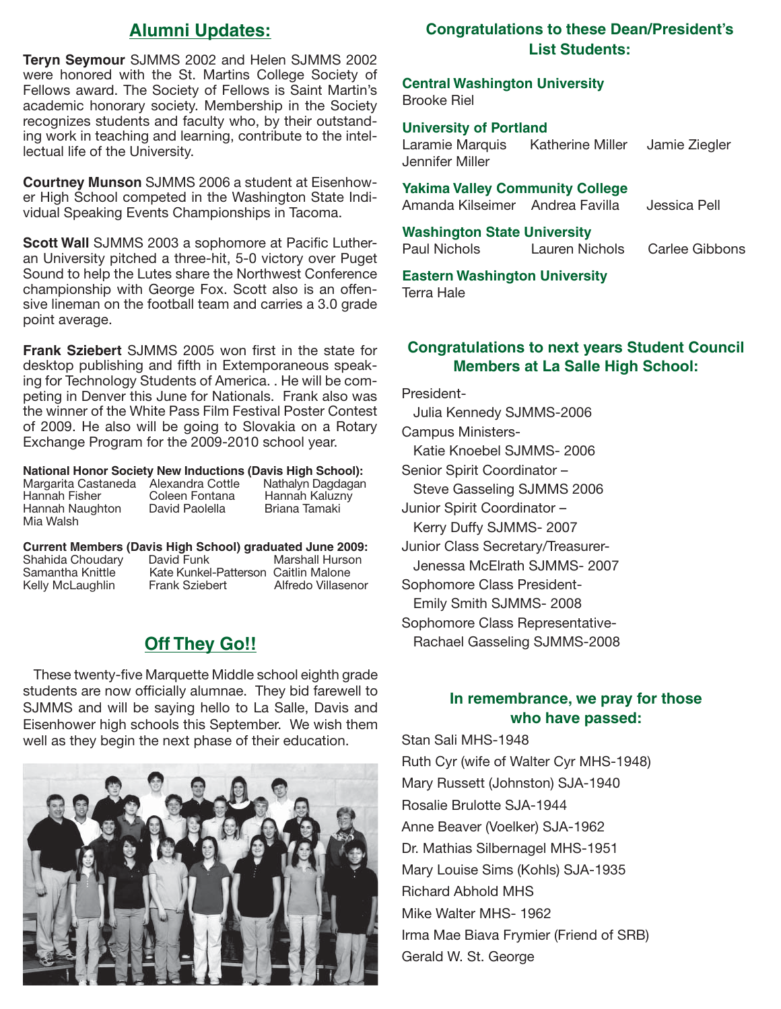## **Alumni Updates:**

**Teryn Seymour** SJMMS 2002 and Helen SJMMS 2002 were honored with the St. Martins College Society of Fellows award. The Society of Fellows is Saint Martin's academic honorary society. Membership in the Society recognizes students and faculty who, by their outstanding work in teaching and learning, contribute to the intellectual life of the University.

**Courtney Munson** SJMMS 2006 a student at Eisenhower High School competed in the Washington State Individual Speaking Events Championships in Tacoma.

**Scott Wall** SJMMS 2003 a sophomore at Pacific Lutheran University pitched a three-hit, 5-0 victory over Puget Sound to help the Lutes share the Northwest Conference championship with George Fox. Scott also is an offensive lineman on the football team and carries a 3.0 grade point average.

**Frank Sziebert** SJMMS 2005 won first in the state for desktop publishing and fifth in Extemporaneous speaking for Technology Students of America. . He will be competing in Denver this June for Nationals. Frank also was the winner of the White Pass Film Festival Poster Contest of 2009. He also will be going to Slovakia on a Rotary Exchange Program for the 2009-2010 school year.

# **National Honor Society New Inductions (Davis High School):**

Margarita Castaneda Alexandra Cottle<br>Hannah Fisher Coleen Fontana Hannah Naughton Mia Walsh

Coleen Fontana Hannah Kaluzny<br>David Paolella Briana Tamaki

#### **Current Members (Davis High School) graduated June 2009:** Shahida Choudary<br>Samantha Knittle Kate Kunkel-Patterson Caitlin Malone<br>Frank Sziebert Alfredo Villasenor Kelly McLaughlin

# **Off They Go!!**

These twenty-five Marquette Middle school eighth grade students are now officially alumnae. They bid farewell to SJMMS and will be saying hello to La Salle, Davis and Eisenhower high schools this September. We wish them well as they begin the next phase of their education.



## **Congratulations to these Dean/President's List Students:**

#### **Central Washington University** Brooke Riel

# **University of Portland**<br>Laramie Marquis Kat

Katherine Miller Jamie Ziegler Jennifer Miller

#### **Yakima Valley Community College**

Amanda Kilseimer Andrea Favilla Jessica Pell

#### **Washington State University**

Paul Nichols Lauren Nichols Carlee Gibbons

#### **Eastern Washington University**

Terra Hale

#### **Congratulations to next years Student Council Members at La Salle High School:**

President- Julia Kennedy SJMMS-2006 Campus Ministers- Katie Knoebel SJMMS- 2006 Senior Spirit Coordinator – Steve Gasseling SJMMS 2006 Junior Spirit Coordinator – Kerry Duffy SJMMS- 2007 Junior Class Secretary/Treasurer- Jenessa McElrath SJMMS- 2007 Sophomore Class President- Emily Smith SJMMS- 2008 Sophomore Class Representative- Rachael Gasseling SJMMS-2008

### **In remembrance, we pray for those who have passed:**

Stan Sali MHS-1948 Ruth Cyr (wife of Walter Cyr MHS-1948) Mary Russett (Johnston) SJA-1940 Rosalie Brulotte SJA-1944 Anne Beaver (Voelker) SJA-1962 Dr. Mathias Silbernagel MHS-1951 Mary Louise Sims (Kohls) SJA-1935 Richard Abhold MHS Mike Walter MHS- 1962 Irma Mae Biava Frymier (Friend of SRB) Gerald W. St. George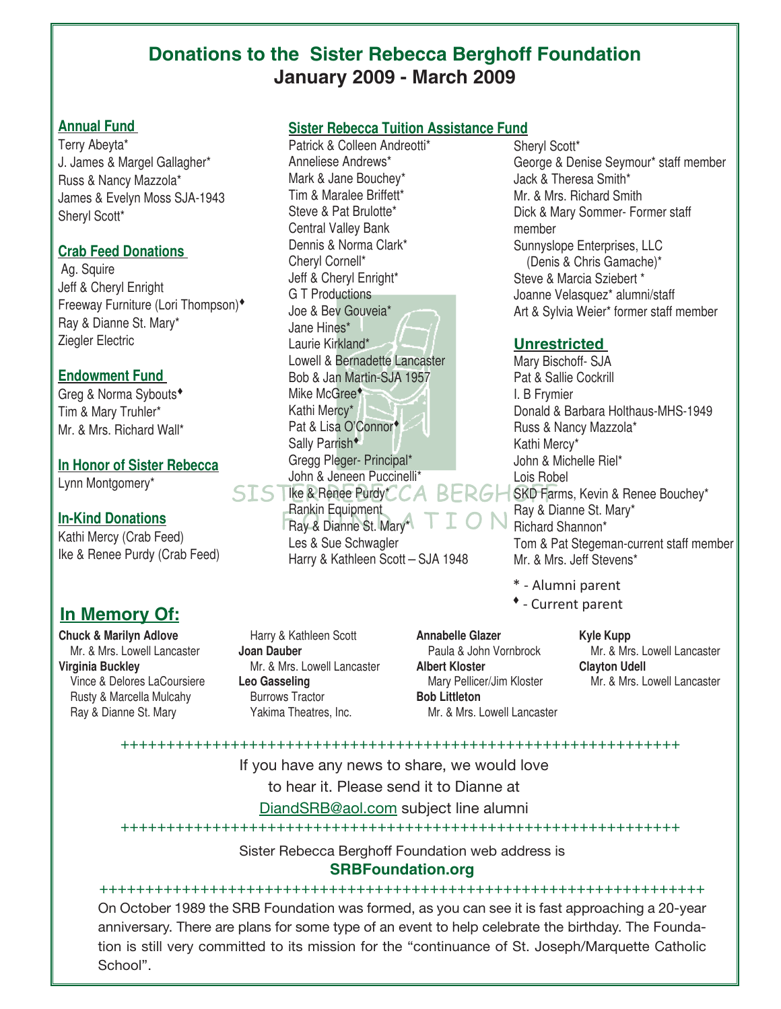# **Donations to the Sister Rebecca Berghoff Foundation January 2009 - March 2009**

#### **Annual Fund**

Terry Abeyta\* J. James & Margel Gallagher\* Russ & Nancy Mazzola\* James & Evelyn Moss SJA-1943 Sheryl Scott\*

#### **Crab Feed Donations**

Ag. Squire Jeff & Cheryl Enright Freeway Furniture (Lori Thompson) Ray & Dianne St. Mary\* Ziegler Electric

### **Endowment Fund**

Greg & Norma Sybouts Tim & Mary Truhler\* Mr. & Mrs. Richard Wall\*

### **In Honor of Sister Rebecca**

Lynn Montgomery\*

### **In-Kind Donations**

Kathi Mercy (Crab Feed) Ike & Renee Purdy (Crab Feed)

# **In Memory Of:**

**Chuck & Marilyn Adlove** Mr. & Mrs. Lowell Lancaster **Virginia Buckley** Vince & Delores LaCoursiere Rusty & Marcella Mulcahy Ray & Dianne St. Mary

 Harry & Kathleen Scott **Joan Dauber** Mr. & Mrs. Lowell Lancaster **Leo Gasseling** Burrows Tractor Yakima Theatres, Inc.

#### **Annabelle Glazer** Paula & John Vornbrock **Albert Kloster** Mary Pellicer/Jim Kloster **Bob Littleton** Mr. & Mrs. Lowell Lancaster

Sheryl Scott\* George & Denise Seymour\* staff member Jack & Theresa Smith\* Mr. & Mrs. Richard Smith Dick & Mary Sommer- Former staff member Sunnyslope Enterprises, LLC (Denis & Chris Gamache)\* Steve & Marcia Sziebert \* Joanne Velasquez\* alumni/staff Art & Sylvia Weier\* former staff member

### **Unrestricted**

Ike & Renee Purdy\* CA BERGH SKD Farms, Kevin & Renee Bouchey\* Mary Bischoff- SJA Pat & Sallie Cockrill I. B Frymier Donald & Barbara Holthaus-MHS-1949 Russ & Nancy Mazzola\* Kathi Mercy\* John & Michelle Riel\* Lois Robel Ray & Dianne St. Mary\* Richard Shannon\* Tom & Pat Stegeman-current staff member Mr. & Mrs. Jeff Stevens\*

- \* Alumni parent
- Current parent

**Kyle Kupp** Mr. & Mrs. Lowell Lancaster **Clayton Udell** Mr. & Mrs. Lowell Lancaster

+++++++++++++++++++++++++++++++++++++++++++++++++++++++++++++

If you have any news to share, we would love

to hear it. Please send it to Dianne at

DiandSRB@aol.com subject line alumni

+++++++++++++++++++++++++++++++++++++++++++++++++++++++++++++

Sister Rebecca Berghoff Foundation web address is

### **SRBFoundation.org**

++++++++++++++++++++++++++++++++++++++++++++++++++++++++++++++++++ On October 1989 the SRB Foundation was formed, as you can see it is fast approaching a 20-year anniversary. There are plans for some type of an event to help celebrate the birthday. The Foundation is still very committed to its mission for the "continuance of St. Joseph/Marquette Catholic School".

### **Sister Rebecca Tuition Assistance Fund**

Patrick & Colleen Andreotti\*

Lowell & Bernadette Lancaster Bob & Jan Martin-SJA 1957

Anneliese Andrews\* Mark & Jane Bouchey\* Tim & Maralee Briffett\* Steve & Pat Brulotte\* Central Valley Bank Dennis & Norma Clark\*

Cheryl Cornell\* Jeff & Cheryl Enright\* G T Productions Joe & Bev Gouveia\*

Jane Hines\* Laurie Kirkland\*

Mike McGree<sup>\*</sup> Kathi Mercy\*

Pat & Lisa O'Connor<sup>+</sup> Sally Parrish<sup>\*</sup>

Rankin Equipment Ray & Dianne St. Mary\* Les & Sue Schwagler

Gregg Pleger- Principal\* John & Jeneen Puccinelli\*

Harry & Kathleen Scott – SJA 1948